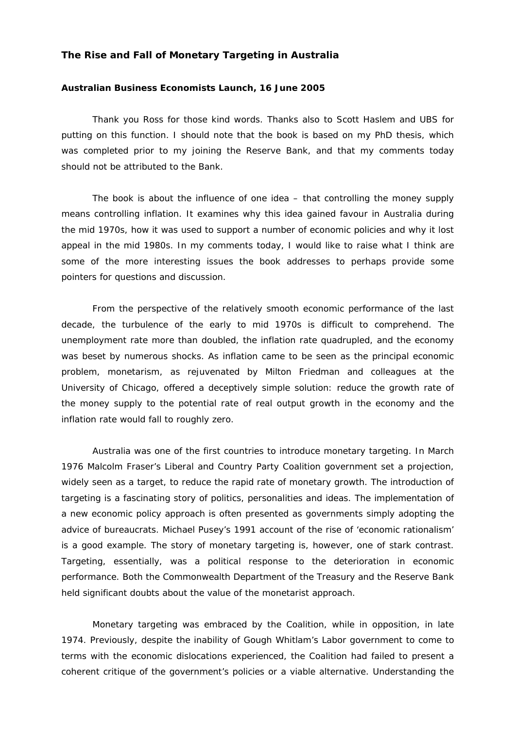## **The Rise and Fall of Monetary Targeting in Australia**

## **Australian Business Economists Launch, 16 June 2005**

Thank you Ross for those kind words. Thanks also to Scott Haslem and UBS for putting on this function. I should note that the book is based on my PhD thesis, which was completed prior to my joining the Reserve Bank, and that my comments today should not be attributed to the Bank.

The book is about the influence of one idea – that controlling the money supply means controlling inflation. It examines why this idea gained favour in Australia during the mid 1970s, how it was used to support a number of economic policies and why it lost appeal in the mid 1980s. In my comments today, I would like to raise what I think are some of the more interesting issues the book addresses to perhaps provide some pointers for questions and discussion.

From the perspective of the relatively smooth economic performance of the last decade, the turbulence of the early to mid 1970s is difficult to comprehend. The unemployment rate more than doubled, the inflation rate quadrupled, and the economy was beset by numerous shocks. As inflation came to be seen as the principal economic problem, monetarism, as rejuvenated by Milton Friedman and colleagues at the University of Chicago, offered a deceptively simple solution: reduce the growth rate of the money supply to the potential rate of real output growth in the economy and the inflation rate would fall to roughly zero.

Australia was one of the first countries to introduce monetary targeting. In March 1976 Malcolm Fraser's Liberal and Country Party Coalition government set a projection, widely seen as a target, to reduce the rapid rate of monetary growth. The introduction of targeting is a fascinating story of politics, personalities and ideas. The implementation of a new economic policy approach is often presented as governments simply adopting the advice of bureaucrats. Michael Pusey's 1991 account of the rise of 'economic rationalism' is a good example. The story of monetary targeting is, however, one of stark contrast. Targeting, essentially, was a political response to the deterioration in economic performance. Both the Commonwealth Department of the Treasury and the Reserve Bank held significant doubts about the value of the monetarist approach.

Monetary targeting was embraced by the Coalition, while in opposition, in late 1974. Previously, despite the inability of Gough Whitlam's Labor government to come to terms with the economic dislocations experienced, the Coalition had failed to present a coherent critique of the government's policies or a viable alternative. Understanding the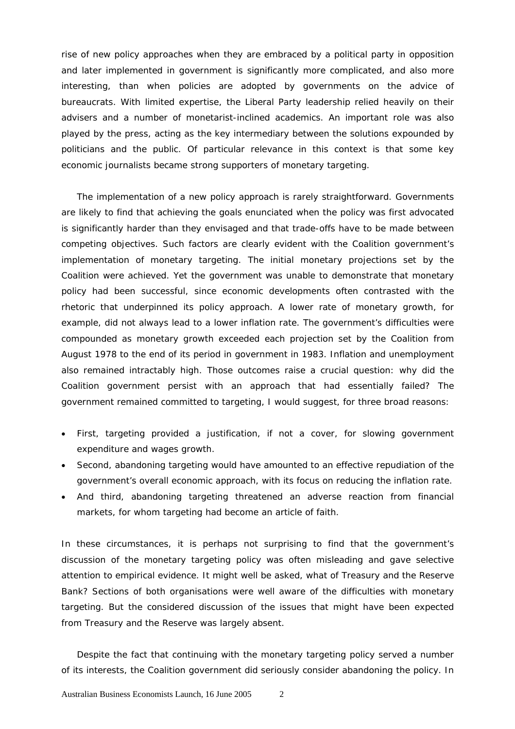rise of new policy approaches when they are embraced by a political party in opposition and later implemented in government is significantly more complicated, and also more interesting, than when policies are adopted by governments on the advice of bureaucrats. With limited expertise, the Liberal Party leadership relied heavily on their advisers and a number of monetarist-inclined academics. An important role was also played by the press, acting as the key intermediary between the solutions expounded by politicians and the public. Of particular relevance in this context is that some key economic journalists became strong supporters of monetary targeting.

The implementation of a new policy approach is rarely straightforward. Governments are likely to find that achieving the goals enunciated when the policy was first advocated is significantly harder than they envisaged and that trade-offs have to be made between competing objectives. Such factors are clearly evident with the Coalition government's implementation of monetary targeting. The initial monetary projections set by the Coalition were achieved. Yet the government was unable to demonstrate that monetary policy had been successful, since economic developments often contrasted with the rhetoric that underpinned its policy approach. A lower rate of monetary growth, for example, did not always lead to a lower inflation rate. The government's difficulties were compounded as monetary growth exceeded each projection set by the Coalition from August 1978 to the end of its period in government in 1983. Inflation and unemployment also remained intractably high. Those outcomes raise a crucial question: why did the Coalition government persist with an approach that had essentially failed? The government remained committed to targeting, I would suggest, for three broad reasons:

- First, targeting provided a justification, if not a cover, for slowing government expenditure and wages growth.
- Second, abandoning targeting would have amounted to an effective repudiation of the government's overall economic approach, with its focus on reducing the inflation rate.
- And third, abandoning targeting threatened an adverse reaction from financial markets, for whom targeting had become an article of faith.

In these circumstances, it is perhaps not surprising to find that the government's discussion of the monetary targeting policy was often misleading and gave selective attention to empirical evidence. It might well be asked, what of Treasury and the Reserve Bank? Sections of both organisations were well aware of the difficulties with monetary targeting. But the considered discussion of the issues that might have been expected from Treasury and the Reserve was largely absent.

Despite the fact that continuing with the monetary targeting policy served a number of its interests, the Coalition government did seriously consider abandoning the policy. In